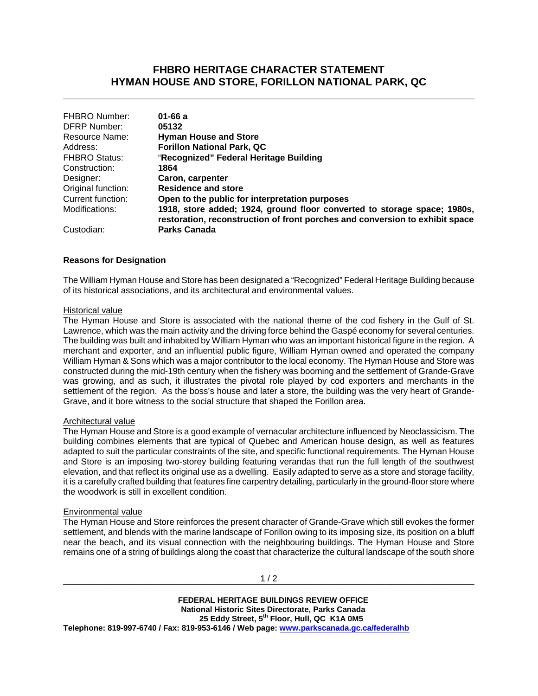## **FHBRO HERITAGE CHARACTER STATEMENT HYMAN HOUSE AND STORE, FORILLON NATIONAL PARK, QC**

\_\_\_\_\_\_\_\_\_\_\_\_\_\_\_\_\_\_\_\_\_\_\_\_\_\_\_\_\_\_\_\_\_\_\_\_\_\_\_\_\_\_\_\_\_\_\_\_\_\_\_\_\_\_\_\_\_\_\_\_\_\_\_\_\_\_\_\_\_\_\_\_\_\_\_\_\_\_

| <b>FHBRO Number:</b> | $01 - 66a$                                                                                                                                               |
|----------------------|----------------------------------------------------------------------------------------------------------------------------------------------------------|
| <b>DFRP Number:</b>  | 05132                                                                                                                                                    |
| Resource Name:       | <b>Hyman House and Store</b>                                                                                                                             |
| Address:             | <b>Forillon National Park, QC</b>                                                                                                                        |
| <b>FHBRO Status:</b> | "Recognized" Federal Heritage Building                                                                                                                   |
| Construction:        | 1864                                                                                                                                                     |
| Designer:            | Caron, carpenter                                                                                                                                         |
| Original function:   | <b>Residence and store</b>                                                                                                                               |
| Current function:    | Open to the public for interpretation purposes                                                                                                           |
| Modifications:       | 1918, store added; 1924, ground floor converted to storage space; 1980s,<br>restoration, reconstruction of front porches and conversion to exhibit space |
| Custodian:           | <b>Parks Canada</b>                                                                                                                                      |

### **Reasons for Designation**

The William Hyman House and Store has been designated a "Recognized" Federal Heritage Building because of its historical associations, and its architectural and environmental values.

#### Historical value

The Hyman House and Store is associated with the national theme of the cod fishery in the Gulf of St. Lawrence, which was the main activity and the driving force behind the Gaspé economy for several centuries. The building was built and inhabited by William Hyman who was an important historical figure in the region. A merchant and exporter, and an influential public figure, William Hyman owned and operated the company William Hyman & Sons which was a major contributor to the local economy. The Hyman House and Store was constructed during the mid-19th century when the fishery was booming and the settlement of Grande-Grave was growing, and as such, it illustrates the pivotal role played by cod exporters and merchants in the settlement of the region. As the boss's house and later a store, the building was the very heart of Grande-Grave, and it bore witness to the social structure that shaped the Forillon area.

#### Architectural value

The Hyman House and Store is a good example of vernacular architecture influenced by Neoclassicism. The building combines elements that are typical of Quebec and American house design, as well as features adapted to suit the particular constraints of the site, and specific functional requirements. The Hyman House and Store is an imposing two-storey building featuring verandas that run the full length of the southwest elevation, and that reflect its original use as a dwelling. Easily adapted to serve as a store and storage facility, it is a carefully crafted building that features fine carpentry detailing, particularly in the ground-floor store where the woodwork is still in excellent condition.

#### Environmental value

The Hyman House and Store reinforces the present character of Grande-Grave which still evokes the former settlement, and blends with the marine landscape of Forillon owing to its imposing size, its position on a bluff near the beach, and its visual connection with the neighbouring buildings. The Hyman House and Store remains one of a string of buildings along the coast that characterize the cultural landscape of the south shore

 **FEDERAL HERITAGE BUILDINGS REVIEW OFFICE National Historic Sites Directorate, Parks Canada 25 Eddy Street, 5th Floor, Hull, QC K1A 0M5 Telephone: 819-997-6740 / Fax: 819-953-6146 / Web page: www.parkscanada.gc.ca/federalhb**